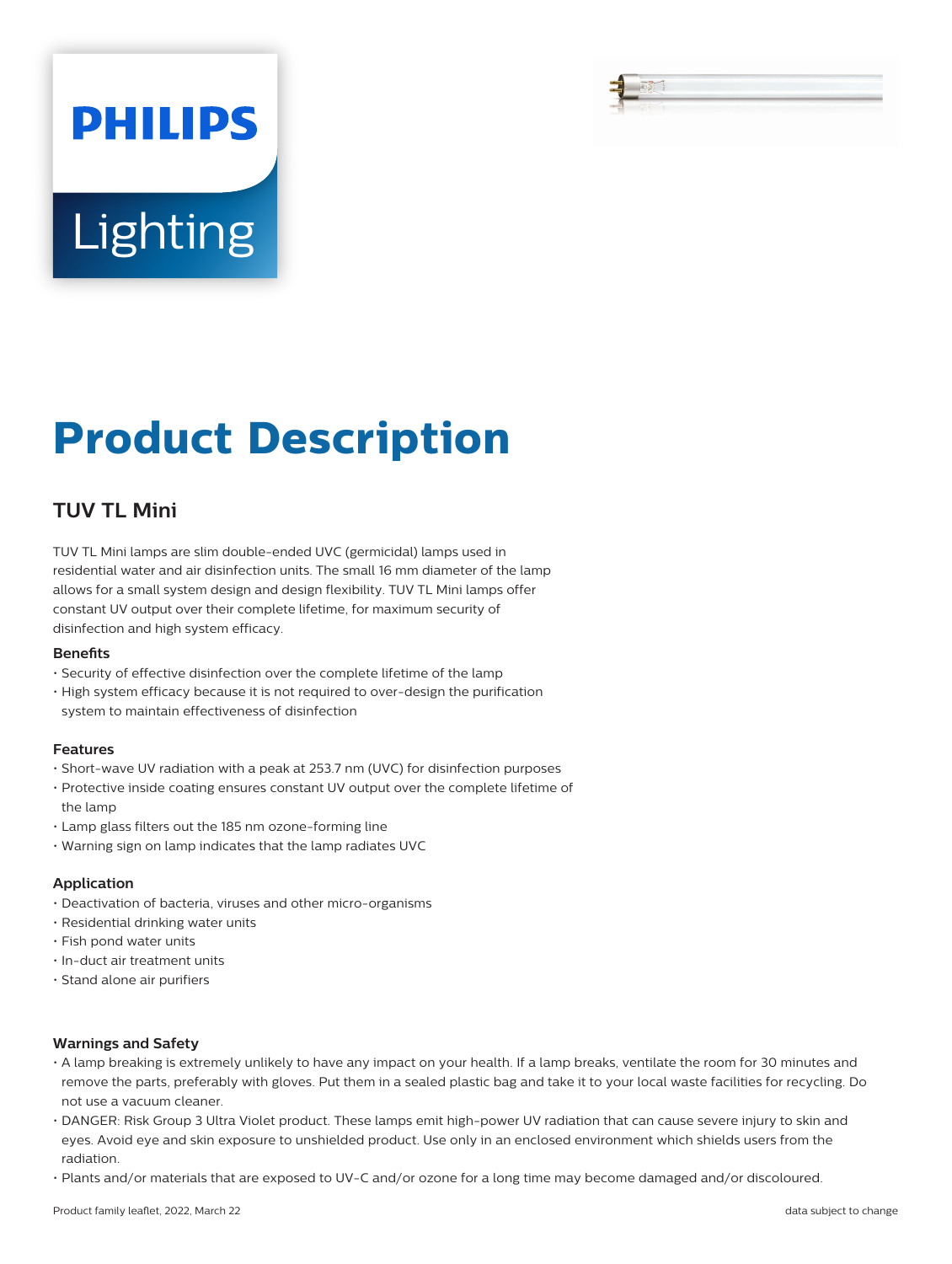# **Lighting**

**PHILIPS** 

## **Product Description**

### **TUV TL Mini**

TUV TL Mini lamps are slim double-ended UVC (germicidal) lamps used in residential water and air disinfection units. The small 16 mm diameter of the lamp allows for a small system design and design flexibility. TUV TL Mini lamps offer constant UV output over their complete lifetime, for maximum security of disinfection and high system efficacy.

#### **Benets**

- Security of effective disinfection over the complete lifetime of the lamp
- High system efficacy because it is not required to over-design the purification system to maintain effectiveness of disinfection

#### **Features**

- Short-wave UV radiation with a peak at 253.7 nm (UVC) for disinfection purposes
- Protective inside coating ensures constant UV output over the complete lifetime of the lamp
- Lamp glass filters out the 185 nm ozone-forming line
- Warning sign on lamp indicates that the lamp radiates UVC

#### **Application**

- Deactivation of bacteria, viruses and other micro-organisms
- Residential drinking water units
- Fish pond water units
- In-duct air treatment units
- Stand alone air purifiers

#### **Warnings and Safety**

- A lamp breaking is extremely unlikely to have any impact on your health. If a lamp breaks, ventilate the room for 30 minutes and remove the parts, preferably with gloves. Put them in a sealed plastic bag and take it to your local waste facilities for recycling. Do not use a vacuum cleaner.
- DANGER: Risk Group 3 Ultra Violet product. These lamps emit high-power UV radiation that can cause severe injury to skin and eyes. Avoid eye and skin exposure to unshielded product. Use only in an enclosed environment which shields users from the radiation.
- Plants and/or materials that are exposed to UV-C and/or ozone for a long time may become damaged and/or discoloured.